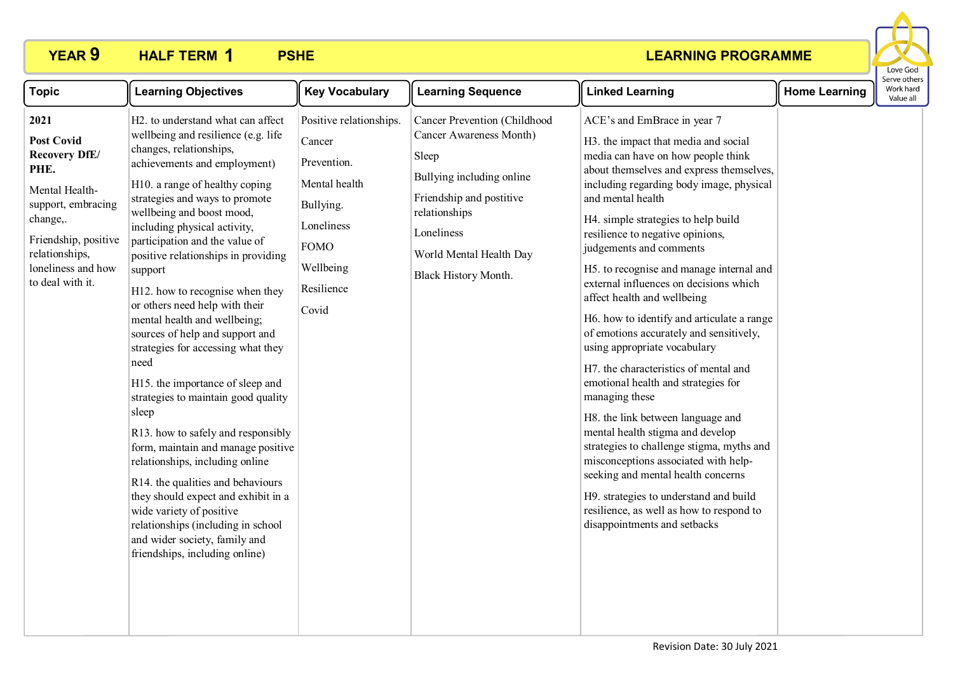

| <b>Topic</b>                                                                                                                                                                                      | <b>Learning Objectives</b>                                                                                                                                                                                                                                                                                                                                                                                                                                                                                                                                                                                                                                                                                                                                                                                                                                                                                                                                         | <b>Key Vocabulary</b>                                                                                                                           | <b>Learning Sequence</b>                                                                                                                                                                                    | <b>Linked Learning</b>                                                                                                                                                                                                                                                                                                                                                                                                                                                                                                                                                                                                                                                                                                                                                                                                                                                                                                                                                                                 | <b>Home Learning</b> | Serve others<br>Work hard<br>Value all |
|---------------------------------------------------------------------------------------------------------------------------------------------------------------------------------------------------|--------------------------------------------------------------------------------------------------------------------------------------------------------------------------------------------------------------------------------------------------------------------------------------------------------------------------------------------------------------------------------------------------------------------------------------------------------------------------------------------------------------------------------------------------------------------------------------------------------------------------------------------------------------------------------------------------------------------------------------------------------------------------------------------------------------------------------------------------------------------------------------------------------------------------------------------------------------------|-------------------------------------------------------------------------------------------------------------------------------------------------|-------------------------------------------------------------------------------------------------------------------------------------------------------------------------------------------------------------|--------------------------------------------------------------------------------------------------------------------------------------------------------------------------------------------------------------------------------------------------------------------------------------------------------------------------------------------------------------------------------------------------------------------------------------------------------------------------------------------------------------------------------------------------------------------------------------------------------------------------------------------------------------------------------------------------------------------------------------------------------------------------------------------------------------------------------------------------------------------------------------------------------------------------------------------------------------------------------------------------------|----------------------|----------------------------------------|
| 2021<br><b>Post Covid</b><br><b>Recovery DfE/</b><br>PHE.<br>Mental Health-<br>support, embracing<br>change,.<br>Friendship, positive<br>relationships,<br>loneliness and how<br>to deal with it. | H2. to understand what can affect<br>wellbeing and resilience (e.g. life<br>changes, relationships,<br>achievements and employment)<br>H10. a range of healthy coping<br>strategies and ways to promote<br>wellbeing and boost mood,<br>including physical activity,<br>participation and the value of<br>positive relationships in providing<br>support<br>H12. how to recognise when they<br>or others need help with their<br>mental health and wellbeing;<br>sources of help and support and<br>strategies for accessing what they<br>need<br>H15. the importance of sleep and<br>strategies to maintain good quality<br>sleep<br>R13. how to safely and responsibly<br>form, maintain and manage positive<br>relationships, including online<br>R14. the qualities and behaviours<br>they should expect and exhibit in a<br>wide variety of positive<br>relationships (including in school<br>and wider society, family and<br>friendships, including online) | Positive relationships.<br>Cancer<br>Prevention.<br>Mental health<br>Bullying.<br>Loneliness<br><b>FOMO</b><br>Wellbeing<br>Resilience<br>Covid | Cancer Prevention (Childhood<br>Cancer Awareness Month)<br>Sleep<br>Bullying including online<br>Friendship and postitive<br>relationships<br>Loneliness<br>World Mental Health Day<br>Black History Month. | ACE's and EmBrace in year 7<br>H3. the impact that media and social<br>media can have on how people think<br>about themselves and express themselves,<br>including regarding body image, physical<br>and mental health<br>H4. simple strategies to help build<br>resilience to negative opinions,<br>judgements and comments<br>H5. to recognise and manage internal and<br>external influences on decisions which<br>affect health and wellbeing<br>H6. how to identify and articulate a range<br>of emotions accurately and sensitively,<br>using appropriate vocabulary<br>H7. the characteristics of mental and<br>emotional health and strategies for<br>managing these<br>H8. the link between language and<br>mental health stigma and develop<br>strategies to challenge stigma, myths and<br>misconceptions associated with help-<br>seeking and mental health concerns<br>H9. strategies to understand and build<br>resilience, as well as how to respond to<br>disappointments and setbacks |                      |                                        |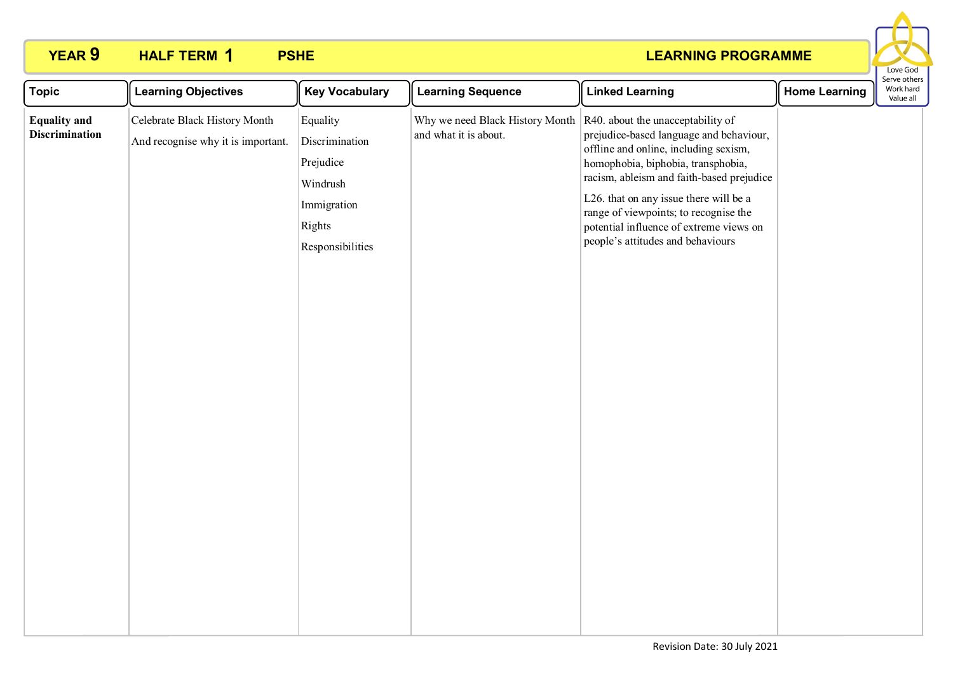

| <b>Topic</b>                                 | <b>Learning Objectives</b>                                          | <b>Key Vocabulary</b>                                                                            | <b>Learning Sequence</b>                                 | <b>Linked Learning</b>                                                                                                                                                                                                                                                                                                                                                      | <b>Home Learning</b> | בו עכ טנווכו ב<br>Work hard<br>Value all |
|----------------------------------------------|---------------------------------------------------------------------|--------------------------------------------------------------------------------------------------|----------------------------------------------------------|-----------------------------------------------------------------------------------------------------------------------------------------------------------------------------------------------------------------------------------------------------------------------------------------------------------------------------------------------------------------------------|----------------------|------------------------------------------|
| <b>Equality and</b><br><b>Discrimination</b> | Celebrate Black History Month<br>And recognise why it is important. | Equality<br>Discrimination<br>Prejudice<br>Windrush<br>Immigration<br>Rights<br>Responsibilities | Why we need Black History Month<br>and what it is about. | R40. about the unacceptability of<br>prejudice-based language and behaviour,<br>offline and online, including sexism,<br>homophobia, biphobia, transphobia,<br>racism, ableism and faith-based prejudice<br>L26. that on any issue there will be a<br>range of viewpoints; to recognise the<br>potential influence of extreme views on<br>people's attitudes and behaviours |                      |                                          |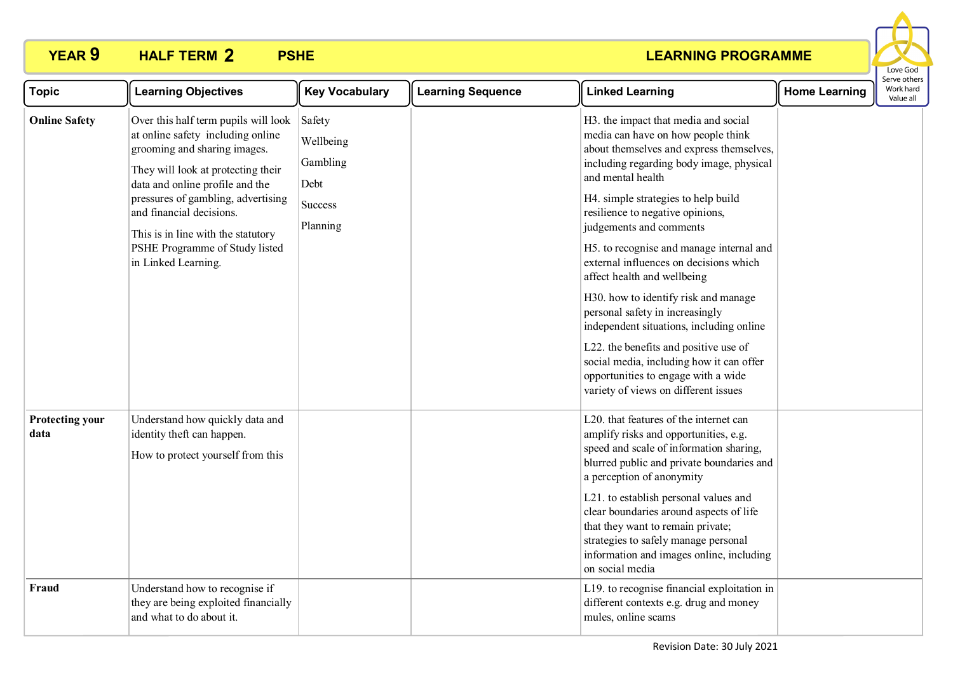

| <b>Topic</b>                   | <b>Learning Objectives</b>                                                                                                                                                                                                                                                                                                                          | <b>Key Vocabulary</b>                                          | <b>Learning Sequence</b> | <b>Linked Learning</b>                                                                                                                                                                                                                                                                                                                                                                                                                                                                                                                                                                                                                                                                                        | <b>Home Learning</b> | Serve others<br>Work hard<br>Value all |
|--------------------------------|-----------------------------------------------------------------------------------------------------------------------------------------------------------------------------------------------------------------------------------------------------------------------------------------------------------------------------------------------------|----------------------------------------------------------------|--------------------------|---------------------------------------------------------------------------------------------------------------------------------------------------------------------------------------------------------------------------------------------------------------------------------------------------------------------------------------------------------------------------------------------------------------------------------------------------------------------------------------------------------------------------------------------------------------------------------------------------------------------------------------------------------------------------------------------------------------|----------------------|----------------------------------------|
| <b>Online Safety</b>           | Over this half term pupils will look<br>at online safety including online<br>grooming and sharing images.<br>They will look at protecting their<br>data and online profile and the<br>pressures of gambling, advertising<br>and financial decisions.<br>This is in line with the statutory<br>PSHE Programme of Study listed<br>in Linked Learning. | Safety<br>Wellbeing<br>Gambling<br>Debt<br>Success<br>Planning |                          | H3. the impact that media and social<br>media can have on how people think<br>about themselves and express themselves,<br>including regarding body image, physical<br>and mental health<br>H4. simple strategies to help build<br>resilience to negative opinions,<br>judgements and comments<br>H5. to recognise and manage internal and<br>external influences on decisions which<br>affect health and wellbeing<br>H30. how to identify risk and manage<br>personal safety in increasingly<br>independent situations, including online<br>L22. the benefits and positive use of<br>social media, including how it can offer<br>opportunities to engage with a wide<br>variety of views on different issues |                      |                                        |
| <b>Protecting your</b><br>data | Understand how quickly data and<br>identity theft can happen.<br>How to protect yourself from this                                                                                                                                                                                                                                                  |                                                                |                          | L20. that features of the internet can<br>amplify risks and opportunities, e.g.<br>speed and scale of information sharing,<br>blurred public and private boundaries and<br>a perception of anonymity<br>L21. to establish personal values and<br>clear boundaries around aspects of life<br>that they want to remain private;<br>strategies to safely manage personal<br>information and images online, including<br>on social media                                                                                                                                                                                                                                                                          |                      |                                        |
| Fraud                          | Understand how to recognise if<br>they are being exploited financially<br>and what to do about it.                                                                                                                                                                                                                                                  |                                                                |                          | L19. to recognise financial exploitation in<br>different contexts e.g. drug and money<br>mules, online scams                                                                                                                                                                                                                                                                                                                                                                                                                                                                                                                                                                                                  |                      |                                        |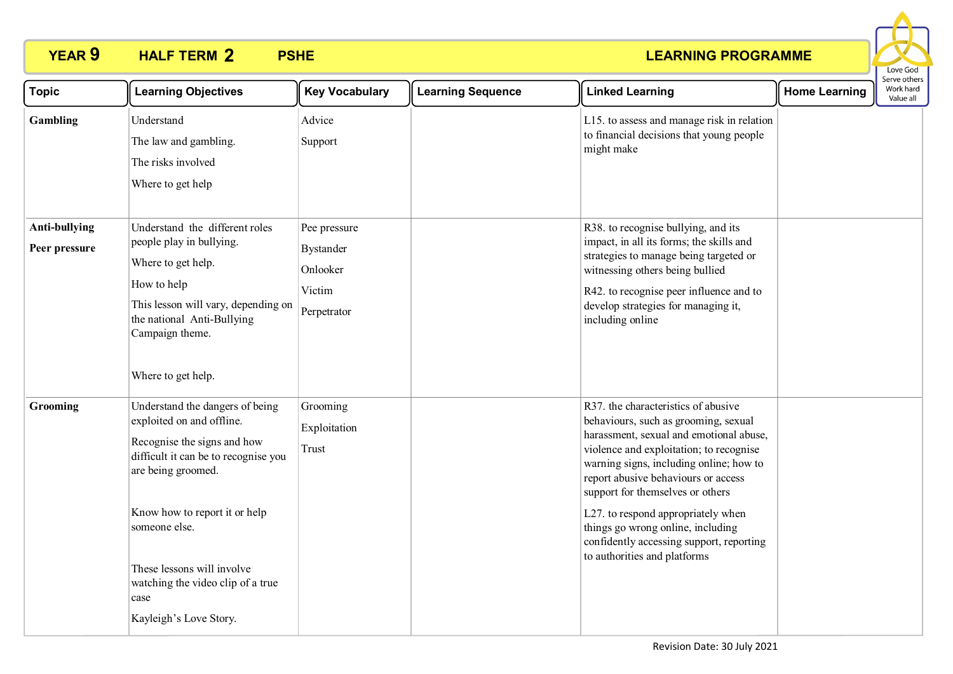

| <b>Topic</b>                          | <b>Learning Objectives</b>                                                                                                                                                                                                                                                                                       | <b>Key Vocabulary</b>                                                 | <b>Learning Sequence</b> | <b>Linked Learning</b>                                                                                                                                                                                                                                                                                                                                                                                                                         | <b>Home Learning</b> | serve others<br>Work hard<br>Value all |  |
|---------------------------------------|------------------------------------------------------------------------------------------------------------------------------------------------------------------------------------------------------------------------------------------------------------------------------------------------------------------|-----------------------------------------------------------------------|--------------------------|------------------------------------------------------------------------------------------------------------------------------------------------------------------------------------------------------------------------------------------------------------------------------------------------------------------------------------------------------------------------------------------------------------------------------------------------|----------------------|----------------------------------------|--|
| Gambling                              | Understand<br>The law and gambling.<br>The risks involved<br>Where to get help                                                                                                                                                                                                                                   | Advice<br>Support                                                     |                          | L15. to assess and manage risk in relation<br>to financial decisions that young people<br>might make                                                                                                                                                                                                                                                                                                                                           |                      |                                        |  |
| <b>Anti-bullying</b><br>Peer pressure | Understand the different roles<br>people play in bullying.<br>Where to get help.<br>How to help<br>This lesson will vary, depending on<br>the national Anti-Bullying<br>Campaign theme.<br>Where to get help.                                                                                                    | Pee pressure<br><b>Bystander</b><br>Onlooker<br>Victim<br>Perpetrator |                          | R38. to recognise bullying, and its<br>impact, in all its forms; the skills and<br>strategies to manage being targeted or<br>witnessing others being bullied<br>R42. to recognise peer influence and to<br>develop strategies for managing it,<br>including online                                                                                                                                                                             |                      |                                        |  |
| Grooming                              | Understand the dangers of being<br>exploited on and offline.<br>Recognise the signs and how<br>difficult it can be to recognise you<br>are being groomed.<br>Know how to report it or help<br>someone else.<br>These lessons will involve<br>watching the video clip of a true<br>case<br>Kayleigh's Love Story. | Grooming<br>Exploitation<br>Trust                                     |                          | R37. the characteristics of abusive<br>behaviours, such as grooming, sexual<br>harassment, sexual and emotional abuse,<br>violence and exploitation; to recognise<br>warning signs, including online; how to<br>report abusive behaviours or access<br>support for themselves or others<br>L27. to respond appropriately when<br>things go wrong online, including<br>confidently accessing support, reporting<br>to authorities and platforms |                      |                                        |  |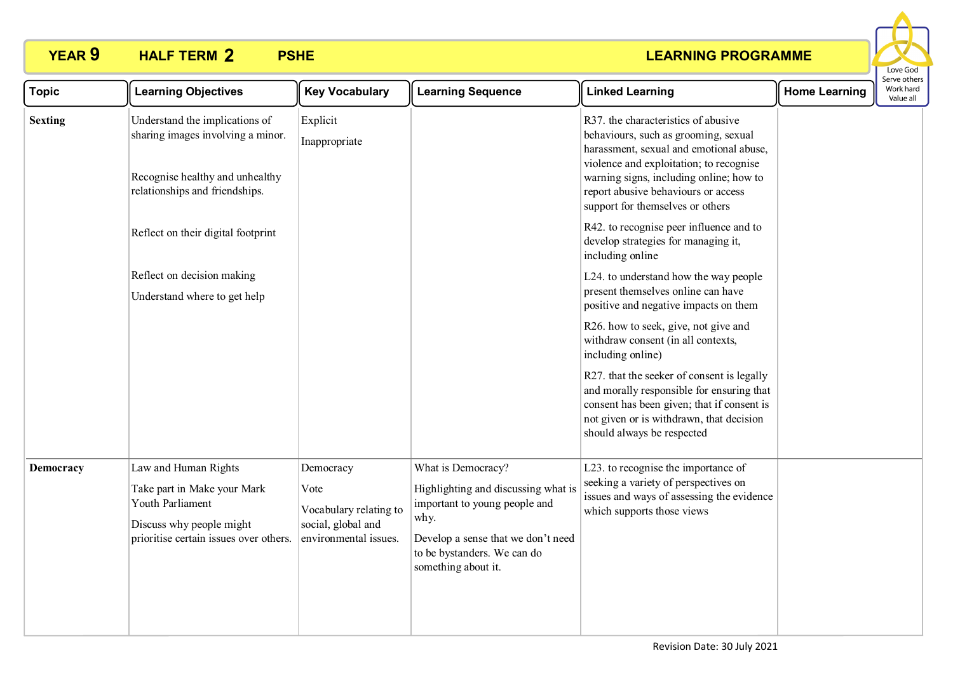

| <b>Learning Objectives</b>                                                                                                                    | <b>Key Vocabulary</b>                                                                      | <b>Learning Sequence</b>                                                                                                                                                                       | <b>Linked Learning</b>                                                                                                                                                                                                                                                                  | <b>Home Learning</b> | Serve others<br>Work hard<br>Value all |
|-----------------------------------------------------------------------------------------------------------------------------------------------|--------------------------------------------------------------------------------------------|------------------------------------------------------------------------------------------------------------------------------------------------------------------------------------------------|-----------------------------------------------------------------------------------------------------------------------------------------------------------------------------------------------------------------------------------------------------------------------------------------|----------------------|----------------------------------------|
| Understand the implications of<br>sharing images involving a minor.<br>Recognise healthy and unhealthy<br>relationships and friendships.      | Explicit<br>Inappropriate                                                                  |                                                                                                                                                                                                | R37. the characteristics of abusive<br>behaviours, such as grooming, sexual<br>harassment, sexual and emotional abuse,<br>violence and exploitation; to recognise<br>warning signs, including online; how to<br>report abusive behaviours or access<br>support for themselves or others |                      |                                        |
| Reflect on their digital footprint                                                                                                            |                                                                                            |                                                                                                                                                                                                | R42. to recognise peer influence and to<br>develop strategies for managing it,<br>including online                                                                                                                                                                                      |                      |                                        |
| Reflect on decision making<br>Understand where to get help                                                                                    |                                                                                            |                                                                                                                                                                                                | L24. to understand how the way people<br>present themselves online can have<br>positive and negative impacts on them                                                                                                                                                                    |                      |                                        |
|                                                                                                                                               |                                                                                            |                                                                                                                                                                                                | R26. how to seek, give, not give and<br>withdraw consent (in all contexts,<br>including online)                                                                                                                                                                                         |                      |                                        |
|                                                                                                                                               |                                                                                            |                                                                                                                                                                                                | R27. that the seeker of consent is legally<br>and morally responsible for ensuring that<br>consent has been given; that if consent is<br>not given or is withdrawn, that decision<br>should always be respected                                                                         |                      |                                        |
| Law and Human Rights<br>Take part in Make your Mark<br>Youth Parliament<br>Discuss why people might<br>prioritise certain issues over others. | Democracy<br>Vote<br>Vocabulary relating to<br>social, global and<br>environmental issues. | What is Democracy?<br>Highlighting and discussing what is<br>important to young people and<br>why.<br>Develop a sense that we don't need<br>to be bystanders. We can do<br>something about it. | L23. to recognise the importance of<br>seeking a variety of perspectives on<br>issues and ways of assessing the evidence<br>which supports those views                                                                                                                                  |                      |                                        |
|                                                                                                                                               |                                                                                            |                                                                                                                                                                                                |                                                                                                                                                                                                                                                                                         |                      |                                        |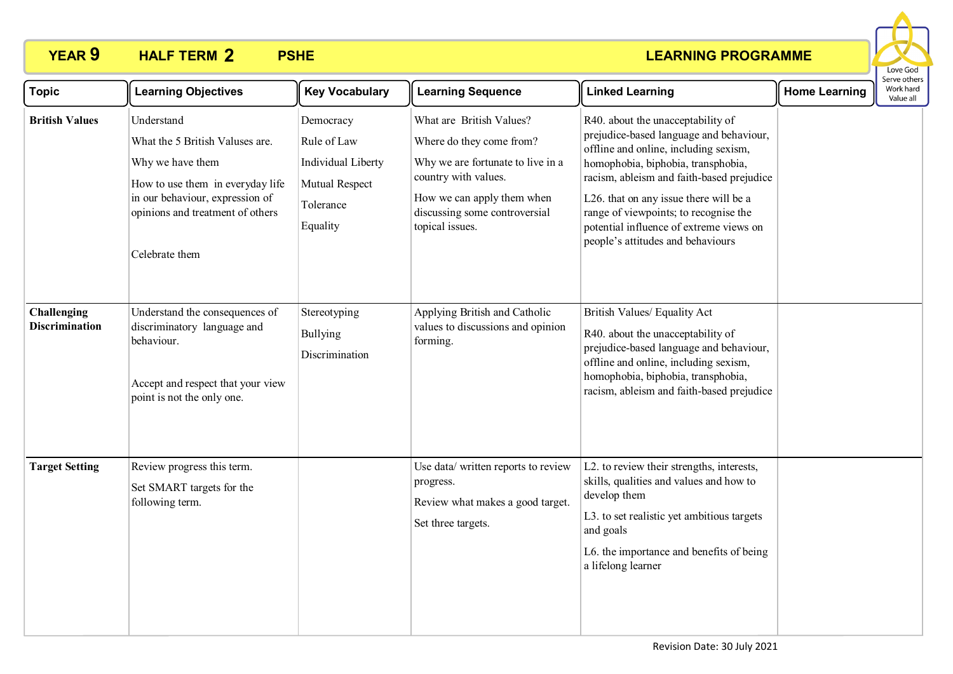

| <b>Topic</b>                         | <b>Learning Objectives</b>                                                                                                                                                                     | <b>Key Vocabulary</b>                                                                     | <b>Learning Sequence</b>                                                                                                                                                                            | <b>Linked Learning</b>                                                                                                                                                                                                                                                                                                                                                      | <b>Home Learning</b> | Serve others<br>Work hard<br>Value all |
|--------------------------------------|------------------------------------------------------------------------------------------------------------------------------------------------------------------------------------------------|-------------------------------------------------------------------------------------------|-----------------------------------------------------------------------------------------------------------------------------------------------------------------------------------------------------|-----------------------------------------------------------------------------------------------------------------------------------------------------------------------------------------------------------------------------------------------------------------------------------------------------------------------------------------------------------------------------|----------------------|----------------------------------------|
| <b>British Values</b>                | Understand<br>What the 5 British Valuses are.<br>Why we have them<br>How to use them in everyday life<br>in our behaviour, expression of<br>opinions and treatment of others<br>Celebrate them | Democracy<br>Rule of Law<br>Individual Liberty<br>Mutual Respect<br>Tolerance<br>Equality | What are British Values?<br>Where do they come from?<br>Why we are fortunate to live in a<br>country with values.<br>How we can apply them when<br>discussing some controversial<br>topical issues. | R40. about the unacceptability of<br>prejudice-based language and behaviour,<br>offline and online, including sexism,<br>homophobia, biphobia, transphobia,<br>racism, ableism and faith-based prejudice<br>L26. that on any issue there will be a<br>range of viewpoints; to recognise the<br>potential influence of extreme views on<br>people's attitudes and behaviours |                      |                                        |
| Challenging<br><b>Discrimination</b> | Understand the consequences of<br>discriminatory language and<br>behaviour.<br>Accept and respect that your view<br>point is not the only one.                                                 | Stereotyping<br>Bullying<br>Discrimination                                                | Applying British and Catholic<br>values to discussions and opinion<br>forming.                                                                                                                      | British Values/ Equality Act<br>R40. about the unacceptability of<br>prejudice-based language and behaviour,<br>offline and online, including sexism,<br>homophobia, biphobia, transphobia,<br>racism, ableism and faith-based prejudice                                                                                                                                    |                      |                                        |
| <b>Target Setting</b>                | Review progress this term.<br>Set SMART targets for the<br>following term.                                                                                                                     |                                                                                           | Use data/ written reports to review<br>progress.<br>Review what makes a good target.<br>Set three targets.                                                                                          | L2. to review their strengths, interests,<br>skills, qualities and values and how to<br>develop them<br>L3. to set realistic yet ambitious targets<br>and goals<br>L6. the importance and benefits of being<br>a lifelong learner                                                                                                                                           |                      |                                        |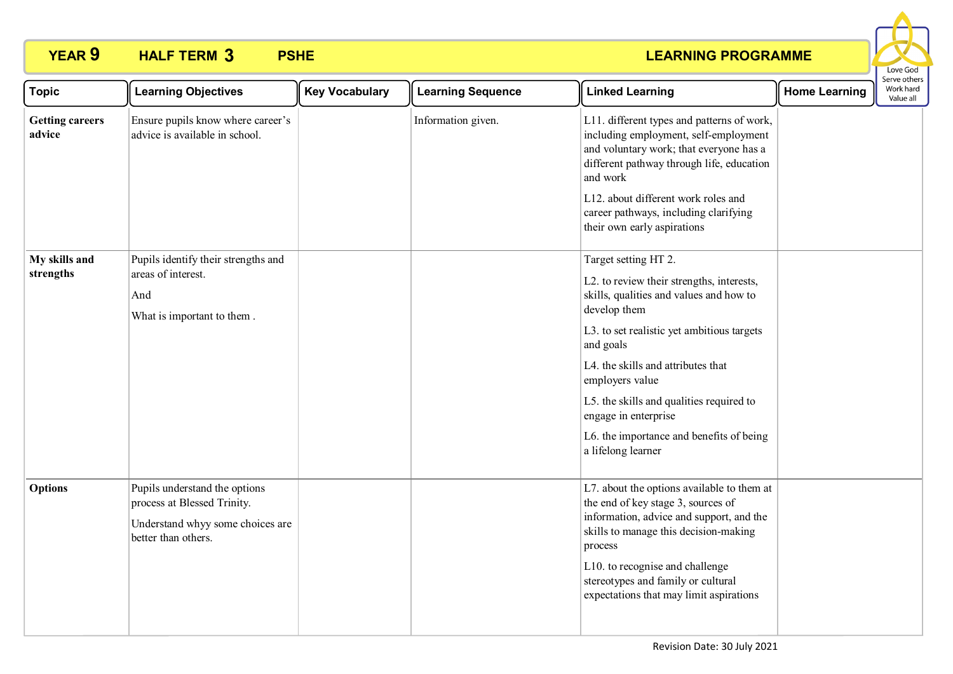

| <b>Topic</b>                     | <b>Learning Objectives</b>                                                                                              | <b>Key Vocabulary</b> | <b>Learning Sequence</b> | <b>Linked Learning</b>                                                                                                                                                                                                                                                                                                                                                                 | <b>Home Learning</b> | serve others<br>Work hard<br>Value all |  |
|----------------------------------|-------------------------------------------------------------------------------------------------------------------------|-----------------------|--------------------------|----------------------------------------------------------------------------------------------------------------------------------------------------------------------------------------------------------------------------------------------------------------------------------------------------------------------------------------------------------------------------------------|----------------------|----------------------------------------|--|
| <b>Getting careers</b><br>advice | Ensure pupils know where career's<br>advice is available in school.                                                     |                       | Information given.       | L11. different types and patterns of work,<br>including employment, self-employment<br>and voluntary work; that everyone has a<br>different pathway through life, education<br>and work<br>L12. about different work roles and<br>career pathways, including clarifying<br>their own early aspirations                                                                                 |                      |                                        |  |
| My skills and<br>strengths       | Pupils identify their strengths and<br>areas of interest.<br>And<br>What is important to them.                          |                       |                          | Target setting HT 2.<br>L2. to review their strengths, interests,<br>skills, qualities and values and how to<br>develop them<br>L3. to set realistic yet ambitious targets<br>and goals<br>L4. the skills and attributes that<br>employers value<br>L5. the skills and qualities required to<br>engage in enterprise<br>L6. the importance and benefits of being<br>a lifelong learner |                      |                                        |  |
| <b>Options</b>                   | Pupils understand the options<br>process at Blessed Trinity.<br>Understand whyy some choices are<br>better than others. |                       |                          | L7. about the options available to them at<br>the end of key stage 3, sources of<br>information, advice and support, and the<br>skills to manage this decision-making<br>process<br>L10. to recognise and challenge<br>stereotypes and family or cultural<br>expectations that may limit aspirations                                                                                   |                      |                                        |  |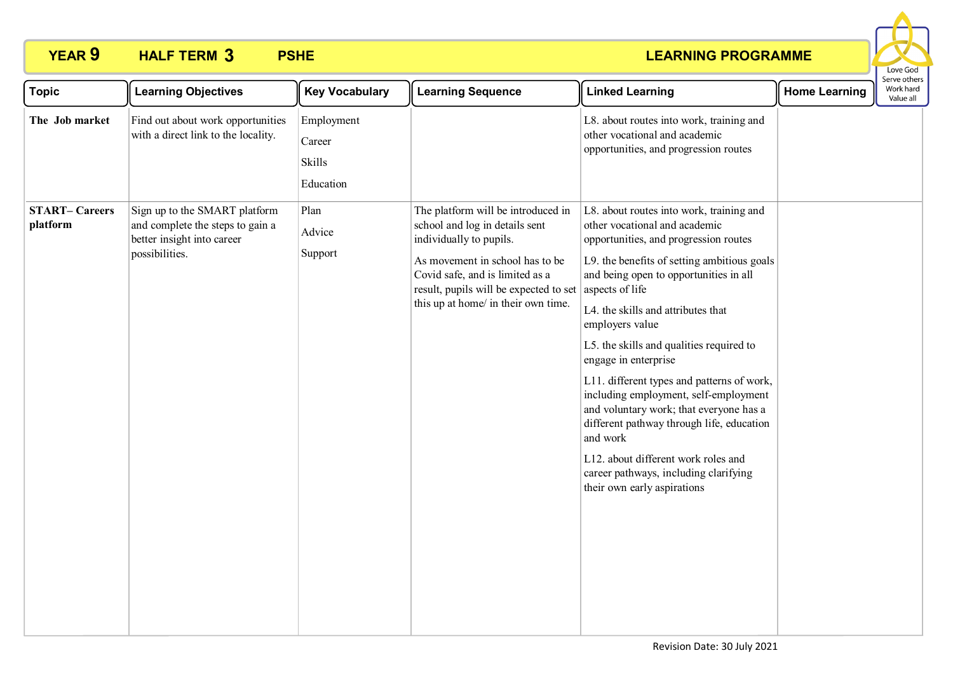

| <b>Topic</b>                     | <b>Learning Objectives</b>                                                                                        | <b>Key Vocabulary</b>                       | <b>Learning Sequence</b>                                                                                                                                                                                                                               | <b>Linked Learning</b>                                                                                                                                                                                                                                                                                                                                                                                                                                                                                                                                                                                                                                                | <b>Home Learning</b> | serve otriers<br>Work hard<br>Value all |  |
|----------------------------------|-------------------------------------------------------------------------------------------------------------------|---------------------------------------------|--------------------------------------------------------------------------------------------------------------------------------------------------------------------------------------------------------------------------------------------------------|-----------------------------------------------------------------------------------------------------------------------------------------------------------------------------------------------------------------------------------------------------------------------------------------------------------------------------------------------------------------------------------------------------------------------------------------------------------------------------------------------------------------------------------------------------------------------------------------------------------------------------------------------------------------------|----------------------|-----------------------------------------|--|
| The Job market                   | Find out about work opportunities<br>with a direct link to the locality.                                          | Employment<br>Career<br>Skills<br>Education |                                                                                                                                                                                                                                                        | L8. about routes into work, training and<br>other vocational and academic<br>opportunities, and progression routes                                                                                                                                                                                                                                                                                                                                                                                                                                                                                                                                                    |                      |                                         |  |
| <b>START-Careers</b><br>platform | Sign up to the SMART platform<br>and complete the steps to gain a<br>better insight into career<br>possibilities. | Plan<br>Advice<br>Support                   | The platform will be introduced in<br>school and log in details sent<br>individually to pupils.<br>As movement in school has to be<br>Covid safe, and is limited as a<br>result, pupils will be expected to set<br>this up at home/ in their own time. | L8. about routes into work, training and<br>other vocational and academic<br>opportunities, and progression routes<br>L9. the benefits of setting ambitious goals<br>and being open to opportunities in all<br>aspects of life<br>L4. the skills and attributes that<br>employers value<br>L5. the skills and qualities required to<br>engage in enterprise<br>L11. different types and patterns of work,<br>including employment, self-employment<br>and voluntary work; that everyone has a<br>different pathway through life, education<br>and work<br>L12. about different work roles and<br>career pathways, including clarifying<br>their own early aspirations |                      |                                         |  |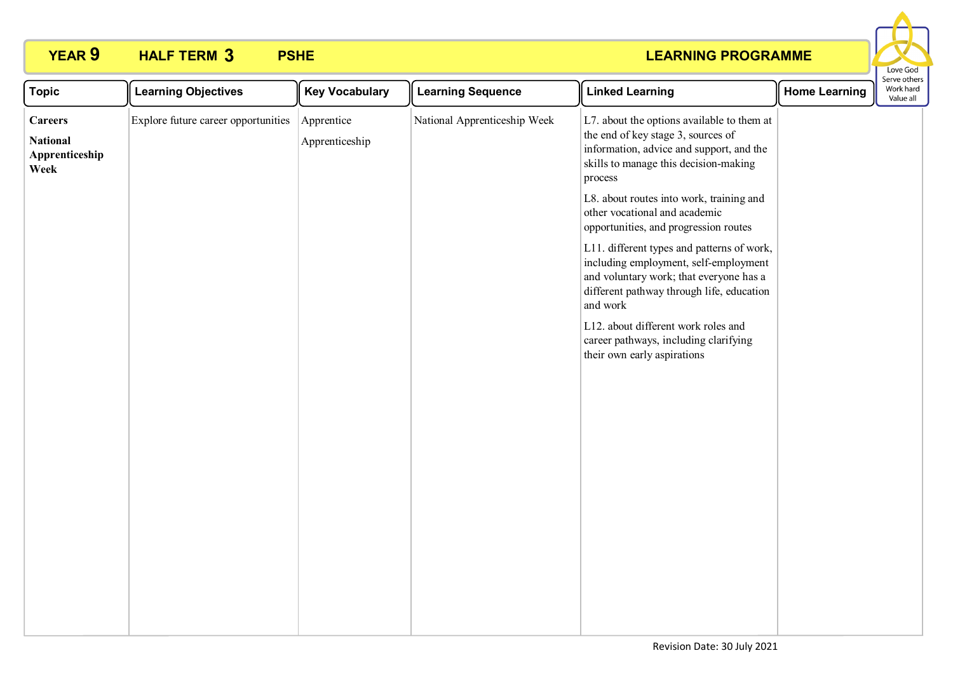

| <b>Topic</b>                                                | <b>Learning Objectives</b>          | <b>Key Vocabulary</b>        | <b>Learning Sequence</b>     | <b>Linked Learning</b>                                                                                                                                                                                                                                                                                 | <b>Home Learning</b> | Serve othe<br>Work har<br>Value all |
|-------------------------------------------------------------|-------------------------------------|------------------------------|------------------------------|--------------------------------------------------------------------------------------------------------------------------------------------------------------------------------------------------------------------------------------------------------------------------------------------------------|----------------------|-------------------------------------|
| <b>Careers</b><br><b>National</b><br>Apprenticeship<br>Week | Explore future career opportunities | Apprentice<br>Apprenticeship | National Apprenticeship Week | L7. about the options available to them at<br>the end of key stage 3, sources of<br>information, advice and support, and the<br>skills to manage this decision-making<br>process                                                                                                                       |                      |                                     |
|                                                             |                                     |                              |                              | L8. about routes into work, training and<br>other vocational and academic<br>opportunities, and progression routes                                                                                                                                                                                     |                      |                                     |
|                                                             |                                     |                              |                              | L11. different types and patterns of work,<br>including employment, self-employment<br>and voluntary work; that everyone has a<br>different pathway through life, education<br>and work<br>L12. about different work roles and<br>career pathways, including clarifying<br>their own early aspirations |                      |                                     |
|                                                             |                                     |                              |                              |                                                                                                                                                                                                                                                                                                        |                      |                                     |
|                                                             |                                     |                              |                              |                                                                                                                                                                                                                                                                                                        |                      |                                     |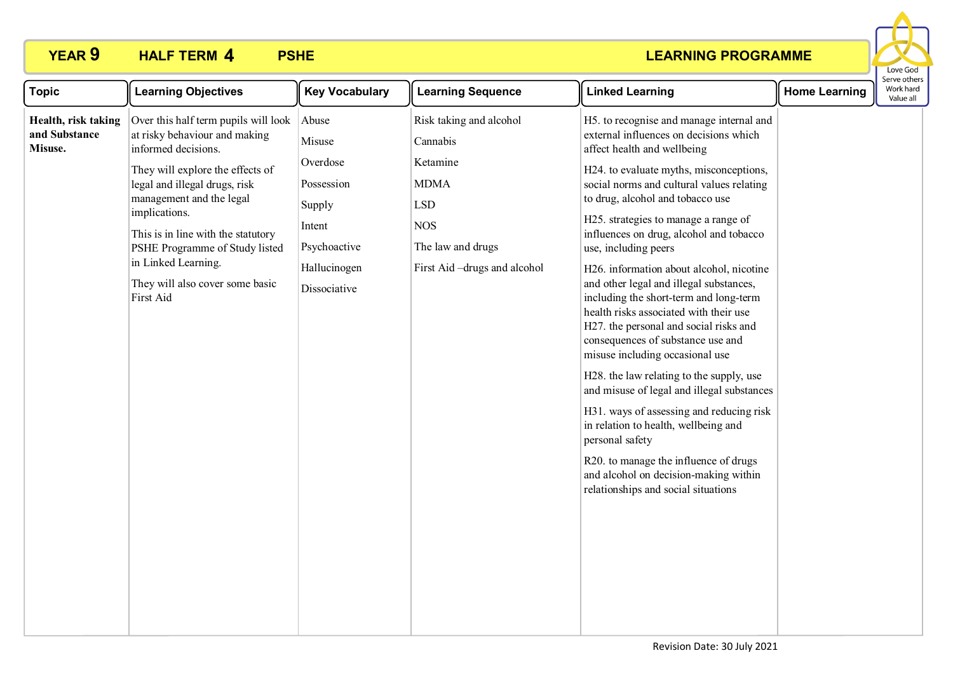

| <b>Topic</b>                                    | <b>Learning Objectives</b>                                                                                                                                                                                                                                                                                                                                    | <b>Key Vocabulary</b>                                                                                         | <b>Learning Sequence</b>                                                                                                                | <b>Linked Learning</b>                                                                                                                                                                                                                                                                                                                                                                                                                                                                                                                                                                                                                                                                                                                                                                                                                                                                                                                                                          | <b>Home Learning</b> | Serve othe<br>Work hard<br>Value all |
|-------------------------------------------------|---------------------------------------------------------------------------------------------------------------------------------------------------------------------------------------------------------------------------------------------------------------------------------------------------------------------------------------------------------------|---------------------------------------------------------------------------------------------------------------|-----------------------------------------------------------------------------------------------------------------------------------------|---------------------------------------------------------------------------------------------------------------------------------------------------------------------------------------------------------------------------------------------------------------------------------------------------------------------------------------------------------------------------------------------------------------------------------------------------------------------------------------------------------------------------------------------------------------------------------------------------------------------------------------------------------------------------------------------------------------------------------------------------------------------------------------------------------------------------------------------------------------------------------------------------------------------------------------------------------------------------------|----------------------|--------------------------------------|
| Health, risk taking<br>and Substance<br>Misuse. | Over this half term pupils will look<br>at risky behaviour and making<br>informed decisions.<br>They will explore the effects of<br>legal and illegal drugs, risk<br>management and the legal<br>implications.<br>This is in line with the statutory<br>PSHE Programme of Study listed<br>in Linked Learning.<br>They will also cover some basic<br>First Aid | Abuse<br>Misuse<br>Overdose<br>Possession<br>Supply<br>Intent<br>Psychoactive<br>Hallucinogen<br>Dissociative | Risk taking and alcohol<br>Cannabis<br>Ketamine<br><b>MDMA</b><br>LSD<br><b>NOS</b><br>The law and drugs<br>First Aid-drugs and alcohol | H5. to recognise and manage internal and<br>external influences on decisions which<br>affect health and wellbeing<br>H24. to evaluate myths, misconceptions,<br>social norms and cultural values relating<br>to drug, alcohol and tobacco use<br>H25. strategies to manage a range of<br>influences on drug, alcohol and tobacco<br>use, including peers<br>H26. information about alcohol, nicotine<br>and other legal and illegal substances,<br>including the short-term and long-term<br>health risks associated with their use<br>H27. the personal and social risks and<br>consequences of substance use and<br>misuse including occasional use<br>H28. the law relating to the supply, use<br>and misuse of legal and illegal substances<br>H31. ways of assessing and reducing risk<br>in relation to health, wellbeing and<br>personal safety<br>R20. to manage the influence of drugs<br>and alcohol on decision-making within<br>relationships and social situations |                      |                                      |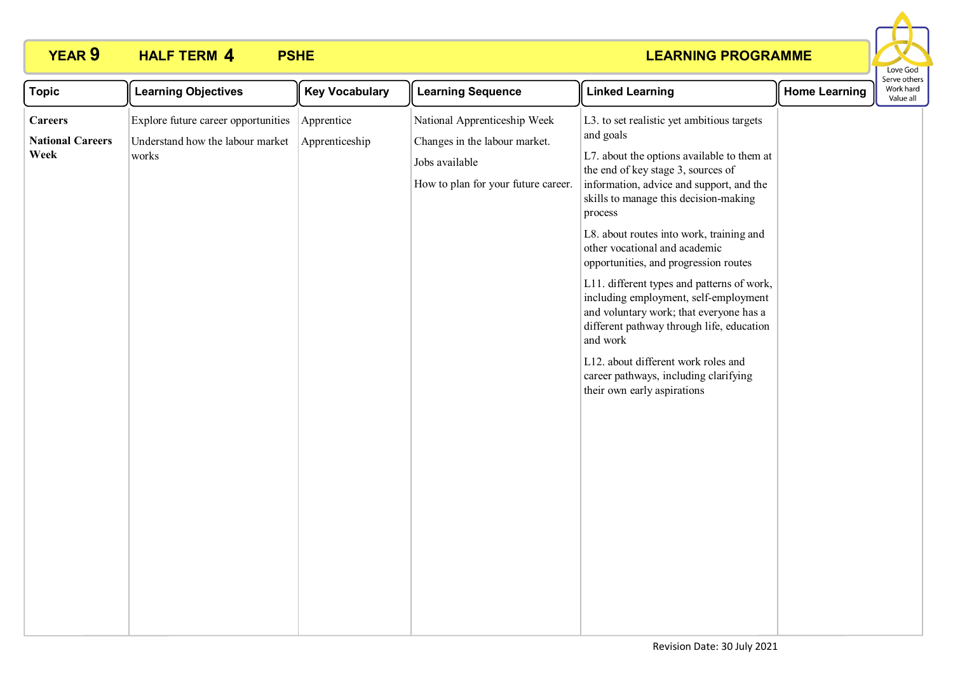

| <b>Topic</b>                                      | <b>Learning Objectives</b>                                                                  | <b>Key Vocabulary</b> | <b>Learning Sequence</b>                                                                                               | <b>Linked Learning</b>                                                                                                                                                                                                                                                                                                                                                           | <b>Home Learning</b> | Serve other<br>Work hard<br>Value all |
|---------------------------------------------------|---------------------------------------------------------------------------------------------|-----------------------|------------------------------------------------------------------------------------------------------------------------|----------------------------------------------------------------------------------------------------------------------------------------------------------------------------------------------------------------------------------------------------------------------------------------------------------------------------------------------------------------------------------|----------------------|---------------------------------------|
| <b>Careers</b><br><b>National Careers</b><br>Week | Explore future career opportunities Apprentice<br>Understand how the labour market<br>works | Apprenticeship        | National Apprenticeship Week<br>Changes in the labour market.<br>Jobs available<br>How to plan for your future career. | L3. to set realistic yet ambitious targets<br>and goals<br>L7. about the options available to them at<br>the end of key stage 3, sources of<br>information, advice and support, and the<br>skills to manage this decision-making<br>process<br>L8. about routes into work, training and                                                                                          |                      |                                       |
|                                                   |                                                                                             |                       |                                                                                                                        | other vocational and academic<br>opportunities, and progression routes<br>L11. different types and patterns of work,<br>including employment, self-employment<br>and voluntary work; that everyone has a<br>different pathway through life, education<br>and work<br>L12. about different work roles and<br>career pathways, including clarifying<br>their own early aspirations |                      |                                       |
|                                                   |                                                                                             |                       |                                                                                                                        |                                                                                                                                                                                                                                                                                                                                                                                  |                      |                                       |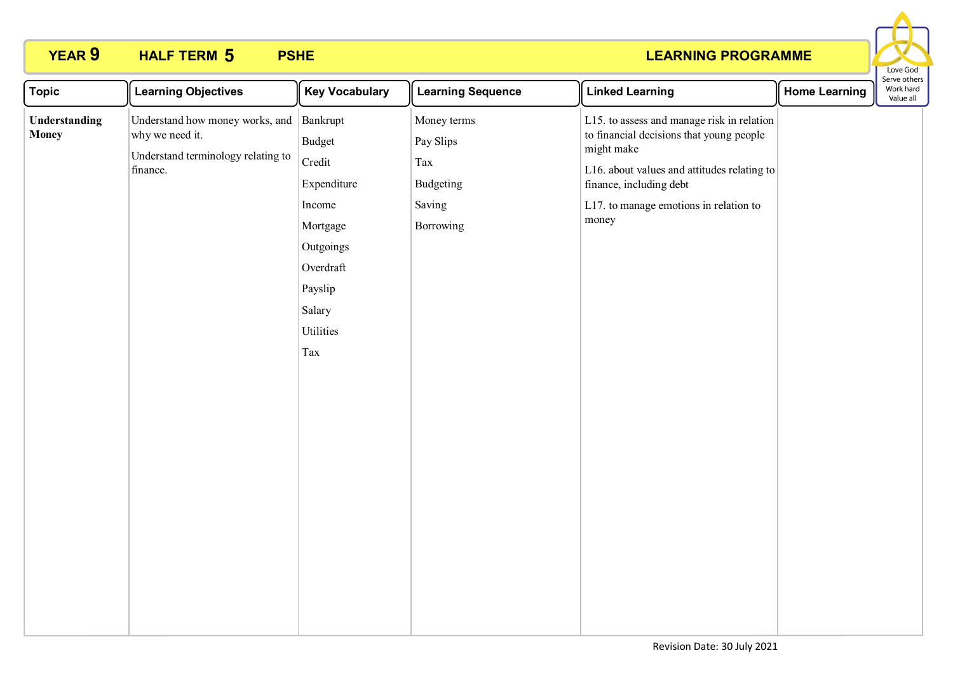

| <b>Topic</b>                  | <b>Learning Objectives</b>                                                                           | <b>Key Vocabulary</b>                                                                                                                | <b>Learning Sequence</b>                                            | <b>Linked Learning</b>                                                                                                                                                                                                            | <b>Home Learning</b> | כו אב חיווכו א<br>Work hard<br>Value all |
|-------------------------------|------------------------------------------------------------------------------------------------------|--------------------------------------------------------------------------------------------------------------------------------------|---------------------------------------------------------------------|-----------------------------------------------------------------------------------------------------------------------------------------------------------------------------------------------------------------------------------|----------------------|------------------------------------------|
| Understanding<br><b>Money</b> | Understand how money works, and<br>why we need it.<br>Understand terminology relating to<br>finance. | Bankrupt<br>Budget<br>Credit<br>Expenditure<br>Income<br>Mortgage<br>Outgoings<br>Overdraft<br>Payslip<br>Salary<br>Utilities<br>Tax | Money terms<br>Pay Slips<br>Tax<br>Budgeting<br>Saving<br>Borrowing | L15. to assess and manage risk in relation<br>to financial decisions that young people<br>might make<br>L16. about values and attitudes relating to<br>finance, including debt<br>L17. to manage emotions in relation to<br>money |                      |                                          |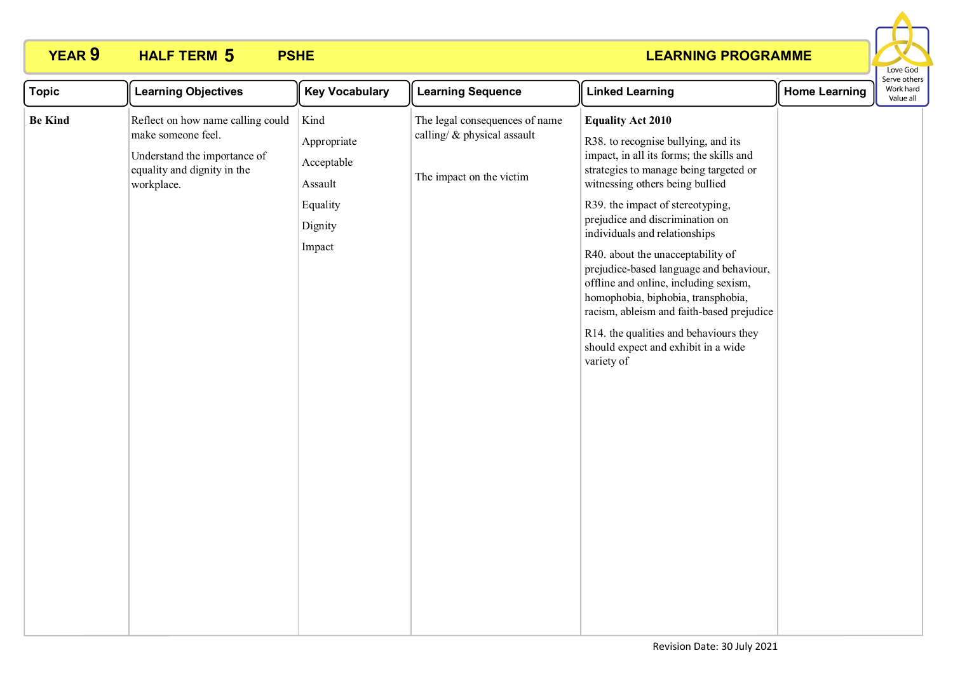

| <b>Topic</b>   | <b>Learning Objectives</b>                                                                                                           | <b>Key Vocabulary</b>                                                         | <b>Learning Sequence</b>                                                                  | <b>Linked Learning</b>                                                                                                                                                                                                                                                                                                                                                                                                                                                                                                                                                                                      | <b>Home Learning</b> | serve others<br>Work hard<br>Value all |
|----------------|--------------------------------------------------------------------------------------------------------------------------------------|-------------------------------------------------------------------------------|-------------------------------------------------------------------------------------------|-------------------------------------------------------------------------------------------------------------------------------------------------------------------------------------------------------------------------------------------------------------------------------------------------------------------------------------------------------------------------------------------------------------------------------------------------------------------------------------------------------------------------------------------------------------------------------------------------------------|----------------------|----------------------------------------|
| <b>Be Kind</b> | Reflect on how name calling could<br>make someone feel.<br>Understand the importance of<br>equality and dignity in the<br>workplace. | Kind<br>Appropriate<br>Acceptable<br>Assault<br>Equality<br>Dignity<br>Impact | The legal consequences of name<br>calling/ & physical assault<br>The impact on the victim | <b>Equality Act 2010</b><br>R38. to recognise bullying, and its<br>impact, in all its forms; the skills and<br>strategies to manage being targeted or<br>witnessing others being bullied<br>R39. the impact of stereotyping,<br>prejudice and discrimination on<br>individuals and relationships<br>R40. about the unacceptability of<br>prejudice-based language and behaviour,<br>offline and online, including sexism,<br>homophobia, biphobia, transphobia,<br>racism, ableism and faith-based prejudice<br>R14. the qualities and behaviours they<br>should expect and exhibit in a wide<br>variety of |                      |                                        |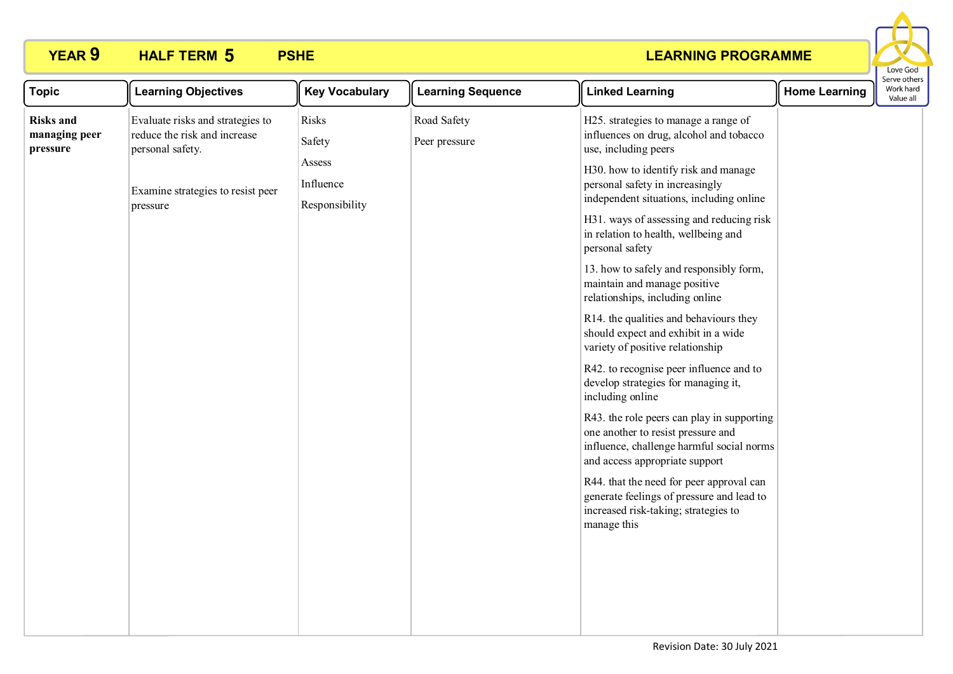

| <b>Topic</b>                                  | <b>Learning Objectives</b>                                                                                                            | <b>Key Vocabulary</b>                                    | <b>Learning Sequence</b>     | <b>Linked Learning</b>                                                                                                                                                                                                                                                                                                                                                                                                                                                                                                                                                                                                                                                                                                                                                                                                                            | <b>Home Learning</b> | Work hard<br>Value all |
|-----------------------------------------------|---------------------------------------------------------------------------------------------------------------------------------------|----------------------------------------------------------|------------------------------|---------------------------------------------------------------------------------------------------------------------------------------------------------------------------------------------------------------------------------------------------------------------------------------------------------------------------------------------------------------------------------------------------------------------------------------------------------------------------------------------------------------------------------------------------------------------------------------------------------------------------------------------------------------------------------------------------------------------------------------------------------------------------------------------------------------------------------------------------|----------------------|------------------------|
| <b>Risks and</b><br>managing peer<br>pressure | Evaluate risks and strategies to<br>reduce the risk and increase<br>personal safety.<br>Examine strategies to resist peer<br>pressure | Risks<br>Safety<br>Assess<br>Influence<br>Responsibility | Road Safety<br>Peer pressure | H25. strategies to manage a range of<br>influences on drug, alcohol and tobacco<br>use, including peers<br>H30. how to identify risk and manage<br>personal safety in increasingly<br>independent situations, including online<br>H31. ways of assessing and reducing risk<br>in relation to health, wellbeing and<br>personal safety<br>13. how to safely and responsibly form,<br>maintain and manage positive<br>relationships, including online<br>R14. the qualities and behaviours they<br>should expect and exhibit in a wide<br>variety of positive relationship<br>R42. to recognise peer influence and to<br>develop strategies for managing it,<br>including online<br>R43. the role peers can play in supporting<br>one another to resist pressure and<br>influence, challenge harmful social norms<br>and access appropriate support |                      | Serve others           |
|                                               |                                                                                                                                       |                                                          |                              | R44. that the need for peer approval can<br>generate feelings of pressure and lead to<br>increased risk-taking; strategies to<br>manage this                                                                                                                                                                                                                                                                                                                                                                                                                                                                                                                                                                                                                                                                                                      |                      |                        |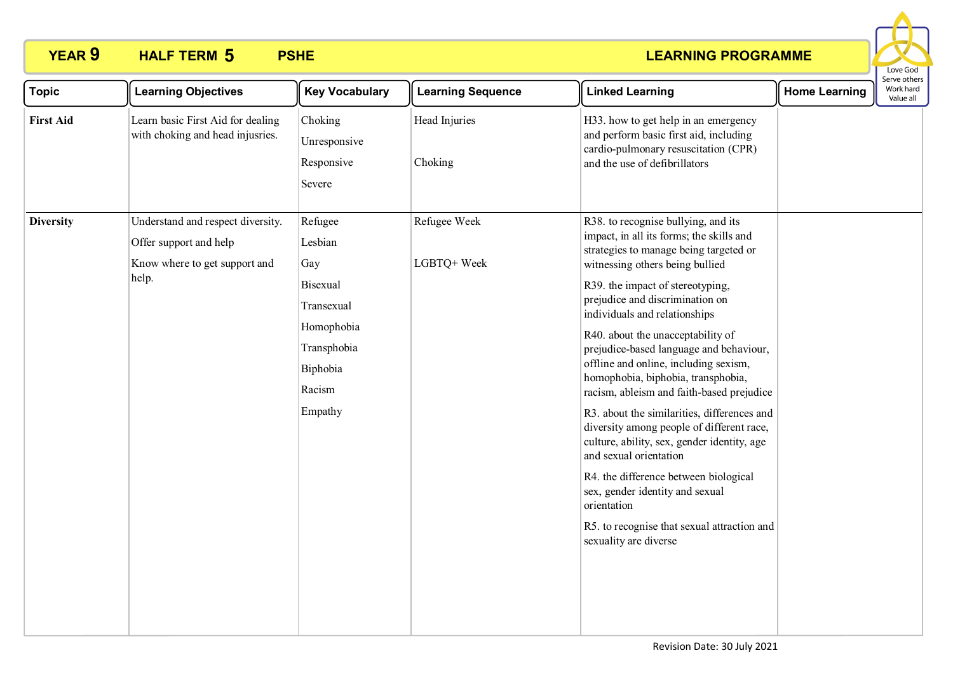

| <b>Topic</b>     | <b>Learning Objectives</b>                                                                            | <b>Key Vocabulary</b>                                                                                             | <b>Learning Sequence</b>    | <b>Linked Learning</b>                                                                                                                                                                                                                                                                                                                                                                                                                                                                                                                                                                                                                                                                                                                                                                                                   | <b>Home Learning</b> | Serve others<br>Work hard<br>Value all |
|------------------|-------------------------------------------------------------------------------------------------------|-------------------------------------------------------------------------------------------------------------------|-----------------------------|--------------------------------------------------------------------------------------------------------------------------------------------------------------------------------------------------------------------------------------------------------------------------------------------------------------------------------------------------------------------------------------------------------------------------------------------------------------------------------------------------------------------------------------------------------------------------------------------------------------------------------------------------------------------------------------------------------------------------------------------------------------------------------------------------------------------------|----------------------|----------------------------------------|
| <b>First Aid</b> | Learn basic First Aid for dealing<br>with choking and head injusries.                                 | Choking<br>Unresponsive<br>Responsive<br>Severe                                                                   | Head Injuries<br>Choking    | H33. how to get help in an emergency<br>and perform basic first aid, including<br>cardio-pulmonary resuscitation (CPR)<br>and the use of defibrillators                                                                                                                                                                                                                                                                                                                                                                                                                                                                                                                                                                                                                                                                  |                      |                                        |
| <b>Diversity</b> | Understand and respect diversity.<br>Offer support and help<br>Know where to get support and<br>help. | Refugee<br>Lesbian<br>Gay<br>Bisexual<br>Transexual<br>Homophobia<br>Transphobia<br>Biphobia<br>Racism<br>Empathy | Refugee Week<br>LGBTQ+ Week | R38. to recognise bullying, and its<br>impact, in all its forms; the skills and<br>strategies to manage being targeted or<br>witnessing others being bullied<br>R39. the impact of stereotyping,<br>prejudice and discrimination on<br>individuals and relationships<br>R40. about the unacceptability of<br>prejudice-based language and behaviour,<br>offline and online, including sexism,<br>homophobia, biphobia, transphobia,<br>racism, ableism and faith-based prejudice<br>R3. about the similarities, differences and<br>diversity among people of different race,<br>culture, ability, sex, gender identity, age<br>and sexual orientation<br>R4. the difference between biological<br>sex, gender identity and sexual<br>orientation<br>R5. to recognise that sexual attraction and<br>sexuality are diverse |                      |                                        |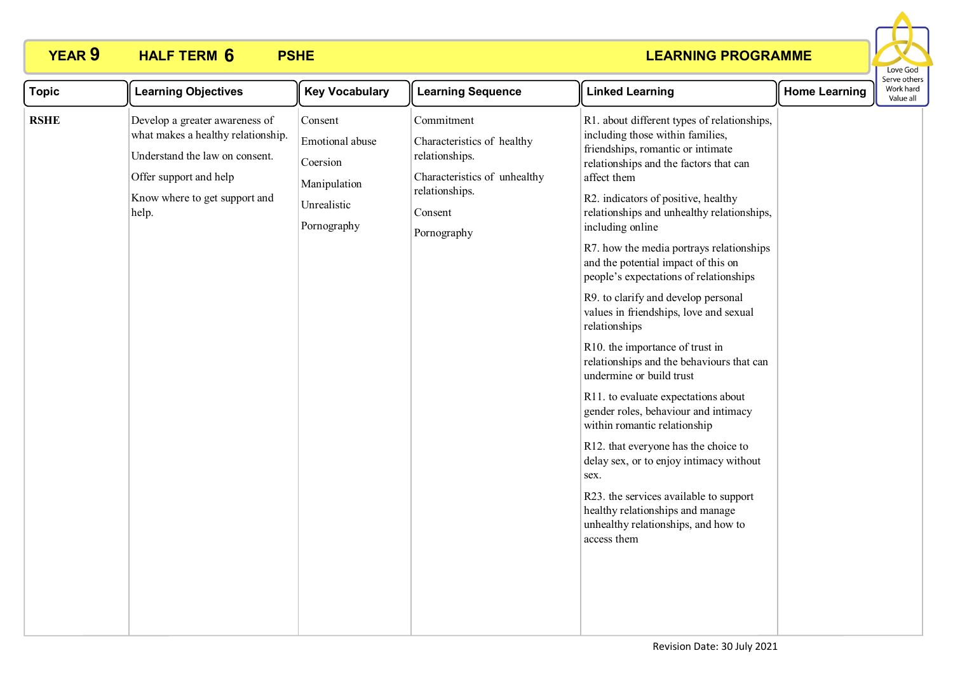

| <b>Topic</b> | <b>Learning Objectives</b>                                                                                                                                                 | <b>Key Vocabulary</b>                                                                | <b>Learning Sequence</b>                                                                                                               | <b>Linked Learning</b>                                                                                                                                                                                                                                                                                                                                                                                                                                                                                                                                                                                                                                                                                                                                                                                                                                                                                                                                                          | <b>Home Learning</b> | <b>Serve othe</b><br>Work har<br>Value all |
|--------------|----------------------------------------------------------------------------------------------------------------------------------------------------------------------------|--------------------------------------------------------------------------------------|----------------------------------------------------------------------------------------------------------------------------------------|---------------------------------------------------------------------------------------------------------------------------------------------------------------------------------------------------------------------------------------------------------------------------------------------------------------------------------------------------------------------------------------------------------------------------------------------------------------------------------------------------------------------------------------------------------------------------------------------------------------------------------------------------------------------------------------------------------------------------------------------------------------------------------------------------------------------------------------------------------------------------------------------------------------------------------------------------------------------------------|----------------------|--------------------------------------------|
| <b>RSHE</b>  | Develop a greater awareness of<br>what makes a healthy relationship.<br>Understand the law on consent.<br>Offer support and help<br>Know where to get support and<br>help. | Consent<br>Emotional abuse<br>Coersion<br>Manipulation<br>Unrealistic<br>Pornography | Commitment<br>Characteristics of healthy<br>relationships.<br>Characteristics of unhealthy<br>relationships.<br>Consent<br>Pornography | R1. about different types of relationships,<br>including those within families,<br>friendships, romantic or intimate<br>relationships and the factors that can<br>affect them<br>R2. indicators of positive, healthy<br>relationships and unhealthy relationships,<br>including online<br>R7. how the media portrays relationships<br>and the potential impact of this on<br>people's expectations of relationships<br>R9. to clarify and develop personal<br>values in friendships, love and sexual<br>relationships<br>R10. the importance of trust in<br>relationships and the behaviours that can<br>undermine or build trust<br>R11. to evaluate expectations about<br>gender roles, behaviour and intimacy<br>within romantic relationship<br>R12. that everyone has the choice to<br>delay sex, or to enjoy intimacy without<br>sex.<br>R23. the services available to support<br>healthy relationships and manage<br>unhealthy relationships, and how to<br>access them |                      |                                            |